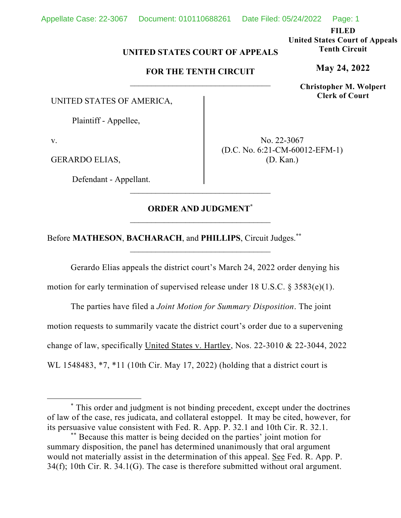**FILED** 

**United States Court of Appeals Tenth Circuit** 

**May 24, 2022**

**Christopher M. Wolpert Clerk of Court**

## **UNITED STATES COURT OF APPEALS**

## **FOR THE TENTH CIRCUIT**

UNITED STATES OF AMERICA,

Plaintiff - Appellee,

v.

GERARDO ELIAS,

Defendant - Appellant.

No. 22-3067 (D.C. No. 6:21-CM-60012-EFM-1) (D. Kan.)

## **ORDER AND JUDGMENT\***

\_\_\_\_\_\_\_\_\_\_\_\_\_\_\_\_\_\_\_\_\_\_\_\_\_\_\_\_\_\_\_\_\_

Before **MATHESON**, **BACHARACH**, and **PHILLIPS**, Circuit Judges.**\*\***

Gerardo Elias appeals the district court's March 24, 2022 order denying his

motion for early termination of supervised release under 18 U.S.C. § 3583(e)(1).

The parties have filed a *Joint Motion for Summary Disposition*. The joint motion requests to summarily vacate the district court's order due to a supervening change of law, specifically United States v. Hartley, Nos. 22-3010 & 22-3044, 2022 WL 1548483, \*7, \*11 (10th Cir. May 17, 2022) (holding that a district court is

<sup>\*</sup> This order and judgment is not binding precedent, except under the doctrines of law of the case, res judicata, and collateral estoppel. It may be cited, however, for its persuasive value consistent with Fed. R. App. P. 32.1 and 10th Cir. R. 32.1.

<sup>\*\*</sup> Because this matter is being decided on the parties' joint motion for summary disposition, the panel has determined unanimously that oral argument would not materially assist in the determination of this appeal. See Fed. R. App. P. 34(f); 10th Cir. R. 34.1(G). The case is therefore submitted without oral argument.